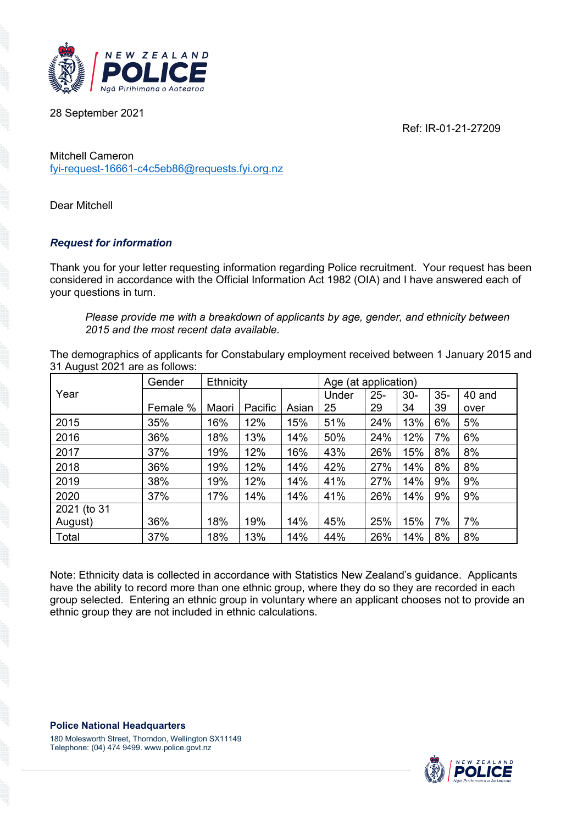Ref: IR-01-21-27209



28 September 2021

Mitchell Cameron [fyi-request-16661-c4c5eb86@requests.fyi.org.nz](mailto:xxxxxxxxxxxxxxxxxxxxxxxxxx@xxxxxxxx.xxx.xxx.xx)

Dear Mitchell

## *Request for information*

Thank you for your letter requesting information regarding Police recruitment. Your request has been considered in accordance with the Official Information Act 1982 (OIA) and I have answered each of your questions in turn.

*Please provide me with a breakdown of applicants by age, gender, and ethnicity between 2015 and the most recent data available.*

The demographics of applicants for Constabulary employment received between 1 January 2015 and 31 August 2021 are as follows:

|             | Gender   | Ethnicity |         |       | Age (at application) |        |       |        |        |
|-------------|----------|-----------|---------|-------|----------------------|--------|-------|--------|--------|
| Year        |          |           |         |       | Under                | $25 -$ | $30-$ | $35 -$ | 40 and |
|             | Female % | Maori     | Pacific | Asian | 25                   | 29     | 34    | 39     | over   |
| 2015        | 35%      | 16%       | 12%     | 15%   | 51%                  | 24%    | 13%   | 6%     | 5%     |
| 2016        | 36%      | 18%       | 13%     | 14%   | 50%                  | 24%    | 12%   | 7%     | 6%     |
| 2017        | 37%      | 19%       | 12%     | 16%   | 43%                  | 26%    | 15%   | 8%     | 8%     |
| 2018        | 36%      | 19%       | 12%     | 14%   | 42%                  | 27%    | 14%   | 8%     | 8%     |
| 2019        | 38%      | 19%       | 12%     | 14%   | 41%                  | 27%    | 14%   | 9%     | 9%     |
| 2020        | 37%      | 17%       | 14%     | 14%   | 41%                  | 26%    | 14%   | 9%     | 9%     |
| 2021 (to 31 |          |           |         |       |                      |        |       |        |        |
| August)     | 36%      | 18%       | 19%     | 14%   | 45%                  | 25%    | 15%   | 7%     | 7%     |
| Total       | 37%      | 18%       | 13%     | 14%   | 44%                  | 26%    | 14%   | 8%     | 8%     |

Note: Ethnicity data is collected in accordance with Statistics New Zealand's guidance. Applicants have the ability to record more than one ethnic group, where they do so they are recorded in each group selected. Entering an ethnic group in voluntary where an applicant chooses not to provide an ethnic group they are not included in ethnic calculations.

**Police National Headquarters**

180 Molesworth Street, Thorndon, Wellington SX11149 Telephone: (04) 474 9499. www.police.govt.nz

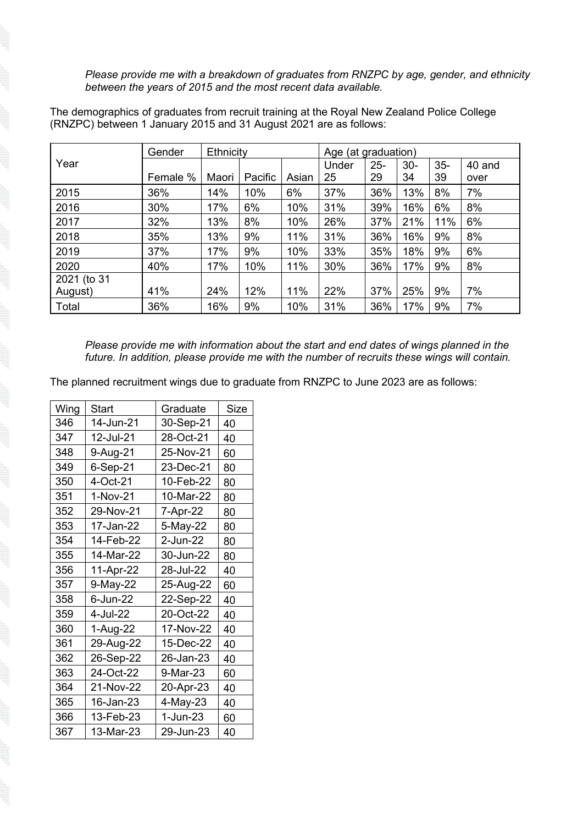*Please provide me with a breakdown of graduates from RNZPC by age, gender, and ethnicity between the years of 2015 and the most recent data available.*

The demographics of graduates from recruit training at the Royal New Zealand Police College (RNZPC) between 1 January 2015 and 31 August 2021 are as follows:

|             | Gender   | Ethnicity |         |       | Age (at graduation) |        |       |        |        |
|-------------|----------|-----------|---------|-------|---------------------|--------|-------|--------|--------|
| Year        |          |           |         |       | Under               | $25 -$ | $30-$ | $35 -$ | 40 and |
|             | Female % | Maori     | Pacific | Asian | 25                  | 29     | 34    | 39     | over   |
| 2015        | 36%      | 14%       | 10%     | 6%    | 37%                 | 36%    | 13%   | 8%     | 7%     |
| 2016        | 30%      | 17%       | 6%      | 10%   | 31%                 | 39%    | 16%   | 6%     | 8%     |
| 2017        | 32%      | 13%       | 8%      | 10%   | 26%                 | 37%    | 21%   | 11%    | 6%     |
| 2018        | 35%      | 13%       | 9%      | 11%   | 31%                 | 36%    | 16%   | 9%     | 8%     |
| 2019        | 37%      | 17%       | 9%      | 10%   | 33%                 | 35%    | 18%   | 9%     | 6%     |
| 2020        | 40%      | 17%       | 10%     | 11%   | 30%                 | 36%    | 17%   | 9%     | 8%     |
| 2021 (to 31 |          |           |         |       |                     |        |       |        |        |
| August)     | 41%      | 24%       | 12%     | 11%   | 22%                 | 37%    | 25%   | 9%     | 7%     |
| Total       | 36%      | 16%       | 9%      | 10%   | 31%                 | 36%    | 17%   | 9%     | 7%     |

*Please provide me with information about the start and end dates of wings planned in the future. In addition, please provide me with the number of recruits these wings will contain.*

The planned recruitment wings due to graduate from RNZPC to June 2023 are as follows:

| Wing | <b>Start</b> | Graduate   | <b>Size</b> |
|------|--------------|------------|-------------|
| 346  | 14-Jun-21    | 30-Sep-21  | 40          |
| 347  | 12-Jul-21    | 28-Oct-21  | 40          |
| 348  | 9-Aug-21     | 25-Nov-21  | 60          |
| 349  | 6-Sep-21     | 23-Dec-21  | 80          |
| 350  | 4-Oct-21     | 10-Feb-22  | 80          |
| 351  | 1-Nov-21     | 10-Mar-22  | 80          |
| 352  | 29-Nov-21    | 7-Apr-22   | 80          |
| 353  | 17-Jan-22    | 5-May-22   | 80          |
| 354  | 14-Feb-22    | 2-Jun-22   | 80          |
| 355  | 14-Mar-22    | 30-Jun-22  | 80          |
| 356  | 11-Apr-22    | 28-Jul-22  | 40          |
| 357  | 9-May-22     | 25-Aug-22  | 60          |
| 358  | 6-Jun-22     | 22-Sep-22  | 40          |
| 359  | 4-Jul-22     | 20-Oct-22  | 40          |
| 360  | 1-Aug-22     | 17-Nov-22  | 40          |
| 361  | 29-Aug-22    | 15-Dec-22  | 40          |
| 362  | 26-Sep-22    | 26-Jan-23  | 40          |
| 363  | 24-Oct-22    | 9-Mar-23   | 60          |
| 364  | 21-Nov-22    | 20-Apr-23  | 40          |
| 365  | 16-Jan-23    | 4-May-23   | 40          |
| 366  | 13-Feb-23    | $1-Jun-23$ | 60          |
| 367  | 13-Mar-23    | 29-Jun-23  | 40          |